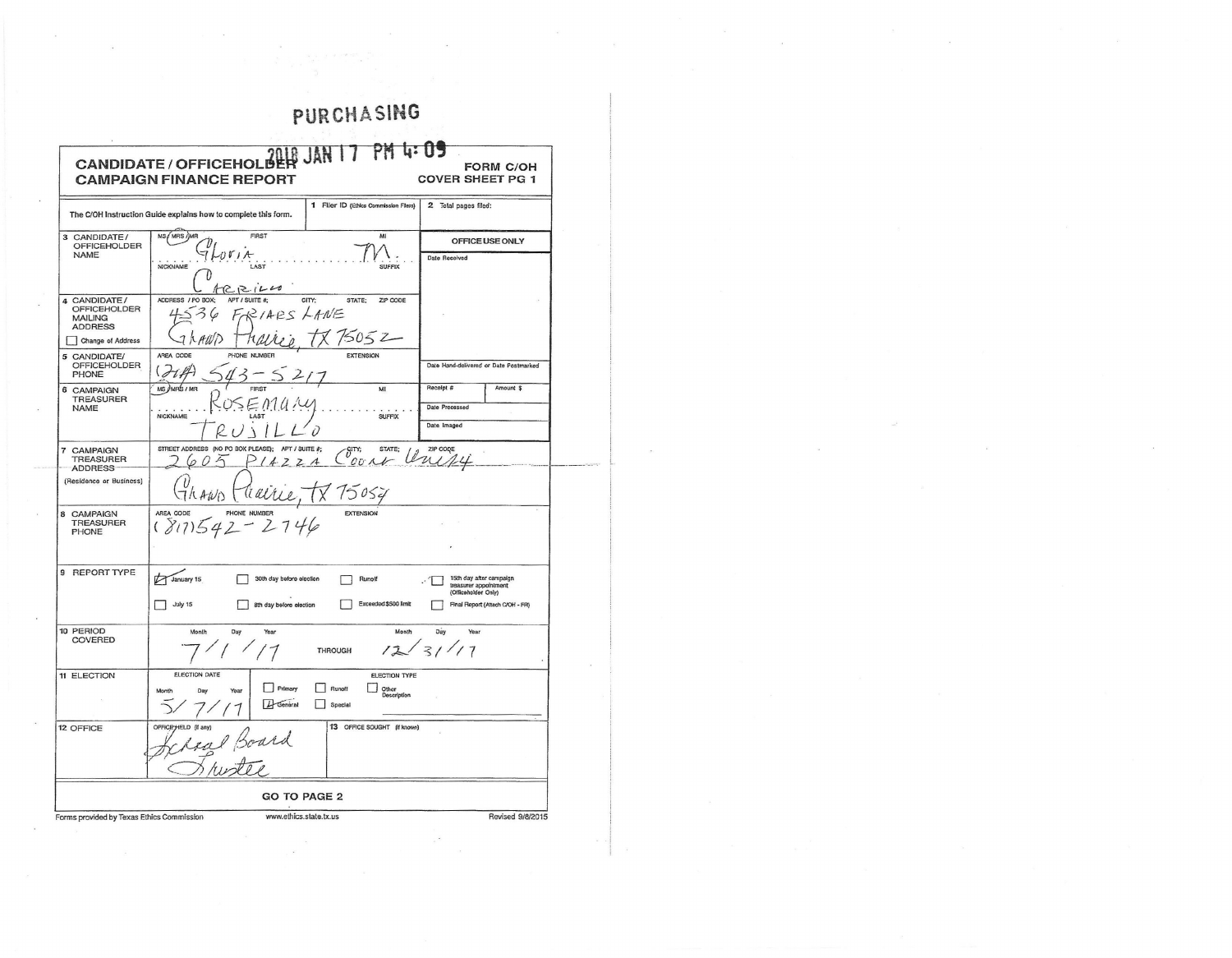| $PM$ $U: 0$<br>CANDIDATE / OFFICEHOLOPER JAN 17<br><b>FORM C/OH</b><br><b>CAMPAIGN FINANCE REPORT</b><br><b>COVER SHEET PG 1</b><br>2 Total pages filed:<br>1 Filer ID (Ethics Commission Filers)<br>The C/OH Instruction Guide explains how to complete this form.<br>MS / MRS / MR<br>FIRST<br>MI<br>OFFICE USE ONLY<br>OFFICEHOLDER<br><b>NAME</b><br>1001A<br>Date Received<br>NICKNAME<br><b>LAST</b><br><b>SUFFIX</b><br>ACR120<br>ADDRESS / PO BOX;<br>APT / SUITE #;<br>CITY:<br>STATE; ZIP CODE<br><b>OFFICEHOLDER</b><br>IARS LANE<br><b>MAILING</b><br><b>ADDRESS</b><br>5052<br>$\overline{ }$<br>AREA CODE<br><b>EXTENSION</b><br>PHONE NUMBER<br>OFFICEHOLDER<br>Date Hand-delivered or Date Postmarked<br>$($ $\partial t$ <i>k</i><br>PHONE<br>MS UNRS / MR<br>Receipt #<br>Amount \$<br><b>TREASURER</b><br>Date Processed<br><b>NAME</b><br>NICKNAME<br>$s$ uFFIX<br>Date Imaged<br>i<br>STREET ADDRESS (NO PO BOX PLEASE);<br>APT / SUITE #;<br>ZIP CODE<br>$\mathcal{C}_{\mathit{OU}}^{\text{SITY}}$ , STATE<br>STATE;<br>TREASURER<br>60<br>422A<br>$\triangle$<br>75054<br>THAWD<br>tiarre<br>AREA CODE<br><b>EXTENSION</b><br>TREASURER<br>PHONE<br>(817)<br>January 15<br>15th day after campaign<br>treasurer appointment<br>(Officeholder Only)<br>30th day before election<br>Runoff<br>- T<br>$\Box$ July 15<br>Exceeded \$500 limit<br>Final Report (Attach C/OH - FR)<br>8th day before election | Day<br>Month<br>Day<br><b>Month</b><br>Year<br>Year<br>12/31/17<br><b>THROUGH</b> | Change of Address<br>(Residence or Business)<br>ELECTION DATE<br>ELECTION TYPE<br>Primary<br>Runoff<br>$\Box$ Other<br>Month<br>$L$ General<br>Spectal | 3 CANDIDATE/<br>4 CANDIDATE/<br>5 CANDIDATE/<br>6 CAMPAIGN<br>7 CAMPAIGN<br>8 CAMPAIGN<br>9 REPORT TYPE<br>10 PERIOD<br>COVERED<br>11 ELECTION<br>13 OFFICE SOUGHT (if known)<br>12 OFFICE | <b>GO TO PAGE 2</b> | www.ethics.state.tx.us<br>Revised 9/8/2015<br>Forms provided by Texas Ethics Commission |  | PURCHASING |  |
|--------------------------------------------------------------------------------------------------------------------------------------------------------------------------------------------------------------------------------------------------------------------------------------------------------------------------------------------------------------------------------------------------------------------------------------------------------------------------------------------------------------------------------------------------------------------------------------------------------------------------------------------------------------------------------------------------------------------------------------------------------------------------------------------------------------------------------------------------------------------------------------------------------------------------------------------------------------------------------------------------------------------------------------------------------------------------------------------------------------------------------------------------------------------------------------------------------------------------------------------------------------------------------------------------------------------------------------------------------------------------------------------------------------------------------|-----------------------------------------------------------------------------------|--------------------------------------------------------------------------------------------------------------------------------------------------------|--------------------------------------------------------------------------------------------------------------------------------------------------------------------------------------------|---------------------|-----------------------------------------------------------------------------------------|--|------------|--|
|                                                                                                                                                                                                                                                                                                                                                                                                                                                                                                                                                                                                                                                                                                                                                                                                                                                                                                                                                                                                                                                                                                                                                                                                                                                                                                                                                                                                                                |                                                                                   |                                                                                                                                                        |                                                                                                                                                                                            |                     |                                                                                         |  |            |  |
|                                                                                                                                                                                                                                                                                                                                                                                                                                                                                                                                                                                                                                                                                                                                                                                                                                                                                                                                                                                                                                                                                                                                                                                                                                                                                                                                                                                                                                |                                                                                   |                                                                                                                                                        |                                                                                                                                                                                            |                     |                                                                                         |  |            |  |
|                                                                                                                                                                                                                                                                                                                                                                                                                                                                                                                                                                                                                                                                                                                                                                                                                                                                                                                                                                                                                                                                                                                                                                                                                                                                                                                                                                                                                                |                                                                                   |                                                                                                                                                        |                                                                                                                                                                                            |                     |                                                                                         |  |            |  |
|                                                                                                                                                                                                                                                                                                                                                                                                                                                                                                                                                                                                                                                                                                                                                                                                                                                                                                                                                                                                                                                                                                                                                                                                                                                                                                                                                                                                                                |                                                                                   |                                                                                                                                                        |                                                                                                                                                                                            |                     |                                                                                         |  |            |  |
|                                                                                                                                                                                                                                                                                                                                                                                                                                                                                                                                                                                                                                                                                                                                                                                                                                                                                                                                                                                                                                                                                                                                                                                                                                                                                                                                                                                                                                |                                                                                   |                                                                                                                                                        |                                                                                                                                                                                            |                     |                                                                                         |  |            |  |
|                                                                                                                                                                                                                                                                                                                                                                                                                                                                                                                                                                                                                                                                                                                                                                                                                                                                                                                                                                                                                                                                                                                                                                                                                                                                                                                                                                                                                                |                                                                                   |                                                                                                                                                        |                                                                                                                                                                                            |                     |                                                                                         |  |            |  |
|                                                                                                                                                                                                                                                                                                                                                                                                                                                                                                                                                                                                                                                                                                                                                                                                                                                                                                                                                                                                                                                                                                                                                                                                                                                                                                                                                                                                                                |                                                                                   |                                                                                                                                                        |                                                                                                                                                                                            |                     |                                                                                         |  |            |  |
|                                                                                                                                                                                                                                                                                                                                                                                                                                                                                                                                                                                                                                                                                                                                                                                                                                                                                                                                                                                                                                                                                                                                                                                                                                                                                                                                                                                                                                |                                                                                   |                                                                                                                                                        |                                                                                                                                                                                            |                     |                                                                                         |  |            |  |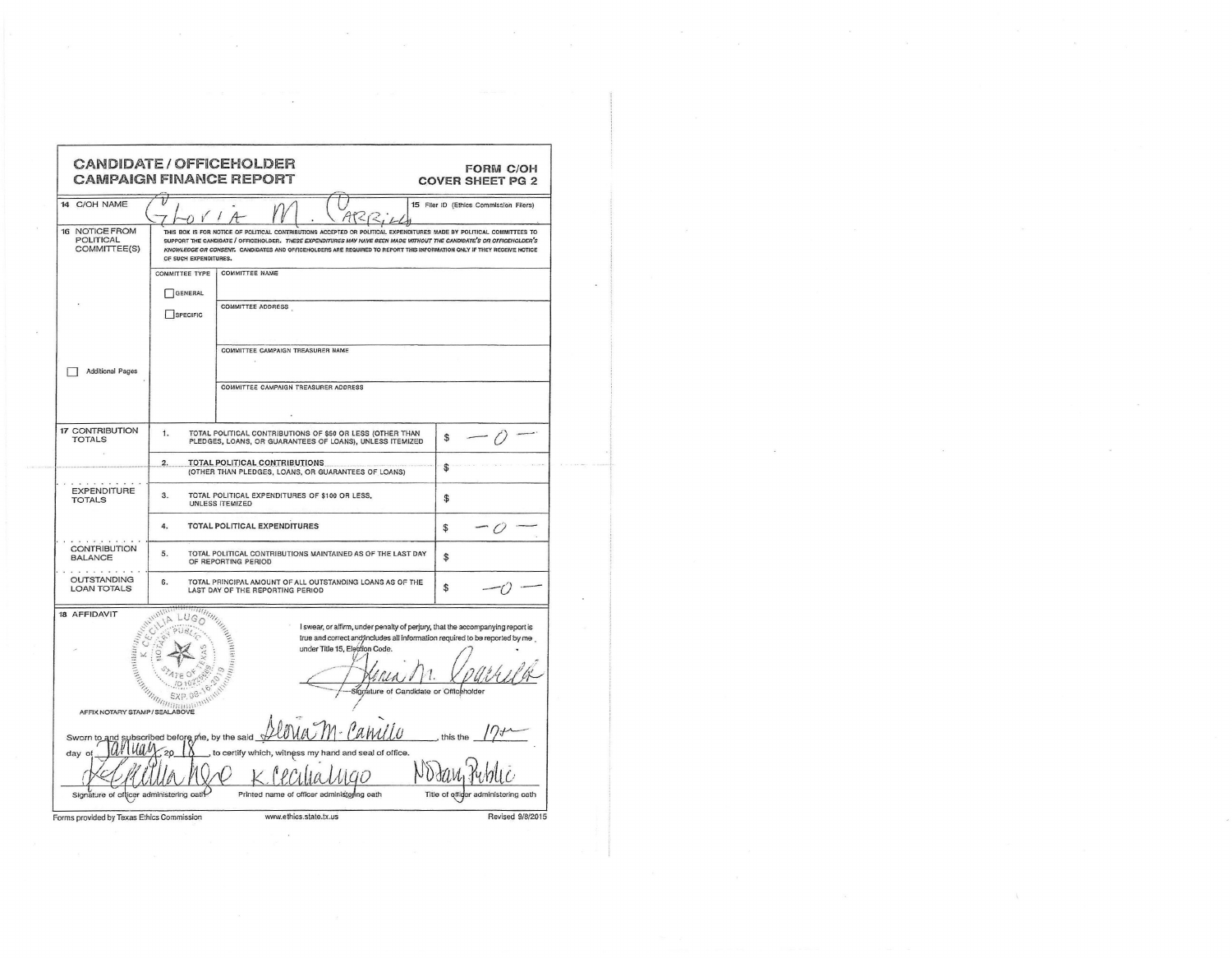|                                                                  |                                | <b>CANDIDATE / OFFICEHOLDER</b><br><b>CAMPAIGN FINANCE REPORT</b>                                                                                                                                                                                                                                                                                                       | <b>FORM C/OH</b><br><b>COVER SHEET PG 2</b> |
|------------------------------------------------------------------|--------------------------------|-------------------------------------------------------------------------------------------------------------------------------------------------------------------------------------------------------------------------------------------------------------------------------------------------------------------------------------------------------------------------|---------------------------------------------|
| 14 C/OH NAME                                                     |                                | $AT<$ $R$                                                                                                                                                                                                                                                                                                                                                               | 15 Filer ID (Ethics Commission Filers)      |
| 16 NOTICE FROM<br>POLITICAL<br>COMMITTEE(S)                      | OF SUCH EXPENDITURES.          | THIS BOX IS FOR NOTICE OF POLITICAL CONTRIBUTIONS ACCEPTED OR POLITICAL EXPENDITURES MADE BY POLITICAL COMMITTEES TO<br>SUPPORT THE CANDIDATE / OFFICEHOLDER. THESE EXPENDITURES MAY HAVE BEEN MADE WITHOUT THE CANDIDATE'S OR OFFICEHOLDER'S<br>KNOWLEDGE OR CONSENT. CANDIDATES AND OFFICEHOLDERS ARE REQUIRED TO REPORT THIS INFORMATION ONLY IF THEY RECEIVE NOTICE |                                             |
|                                                                  | GENERAL<br>$\Box$ SPECIFIC     | COMMITTEE TYPE   COMMITTEE NAME<br><b>COMMITTEE ADDRESS</b>                                                                                                                                                                                                                                                                                                             |                                             |
| Additional Pages                                                 |                                | COMMITTEE CAMPAIGN TREASURER NAME<br>COMMITTEE CAMPAIGN TREASURER ADDRESS                                                                                                                                                                                                                                                                                               |                                             |
| 17 CONTRIBUTION<br><b>TOTALS</b>                                 | $\mathbf{1}$ .                 | TOTAL POLITICAL CONTRIBUTIONS OF \$50 OR LESS (OTHER THAN<br>PLEDGES, LOANS, OR GUARANTEES OF LOANS), UNLESS ITEMIZED                                                                                                                                                                                                                                                   | $$\mathsf{S}$$                              |
|                                                                  | 2.                             | TOTAL POLITICAL CONTRIBUTIONS<br>(OTHER THAN PLEDGES, LOANS, OR GUARANTEES OF LOANS)                                                                                                                                                                                                                                                                                    | $\mathfrak{F}$                              |
| <b>EXPENDITURE</b><br><b>TOTALS</b>                              | 3.                             | TOTAL POLITICAL EXPENDITURES OF \$100 OR LESS,<br>UNLESS ITEMIZED                                                                                                                                                                                                                                                                                                       | $\mathfrak{F}$                              |
|                                                                  | 4.                             | TOTAL POLITICAL EXPENDITURES                                                                                                                                                                                                                                                                                                                                            | $\mathfrak{F}$<br>$-0$ $-$                  |
| CONTRIBUTION<br>.                                                | 5.                             | TOTAL POLITICAL CONTRIBUTIONS MAINTAINED AS OF THE LAST DAY<br>OF REPORTING PERIOD                                                                                                                                                                                                                                                                                      | \$                                          |
| OUTSTANDING<br><b>LOAN TOTALS</b>                                | 6.                             | TOTAL PRINCIPAL AMOUNT OF ALL OUTSTANDING LOANS AS OF THE<br>LAST DAY OF THE REPORTING PERIOD                                                                                                                                                                                                                                                                           | \$                                          |
| 18 AFFIDAVIT<br>AFFIX NOTARY STAMP / SEALABOVE                   | LUGO<br>rimanno<br>EXP.08      | I swear, or affirm, under penalty of perjury, that the accompanying report is<br>true and correct and/includes all information required to be reported by me.<br>under Title 15, Election Code.<br>ature of Candidate or Officeholder                                                                                                                                   |                                             |
| Sworn to and<br>day<br>Signature of officer administering oatif- | scribed before me, by the said | hand and seal of office<br>to certify which<br>Printed name of officer administoring oath                                                                                                                                                                                                                                                                               | Title of offiger<br>administering oath      |
| Forms provided by Texas Ethics Commission                        |                                | www.ethics.state.tx.us                                                                                                                                                                                                                                                                                                                                                  | Revised 9/8/2015                            |